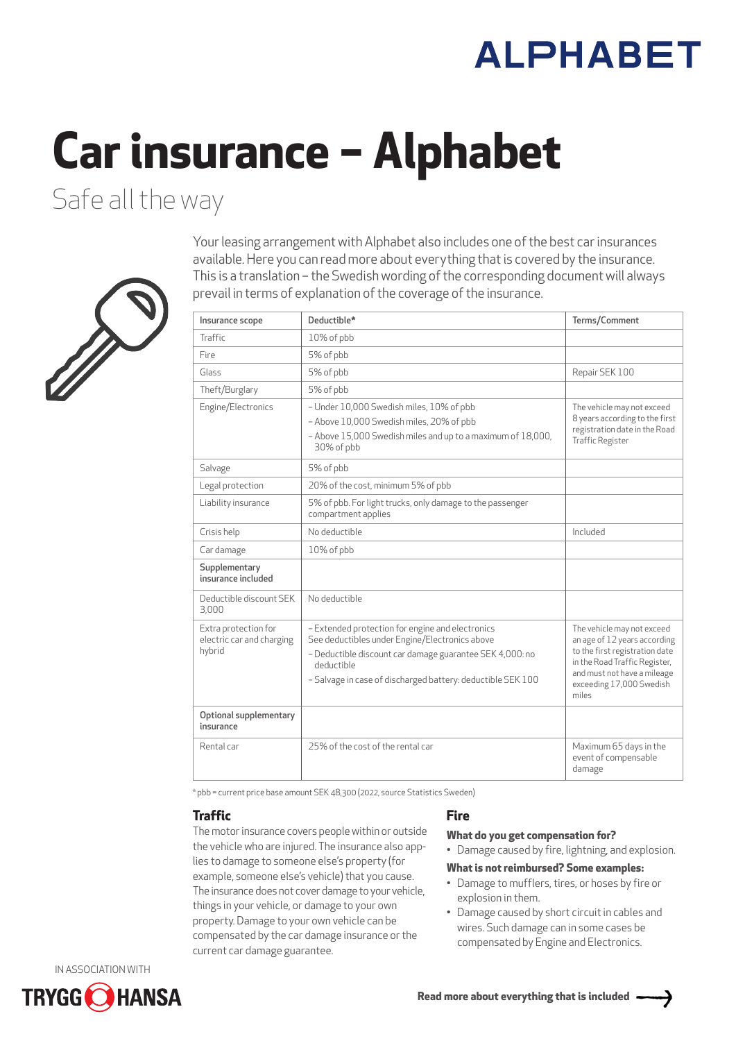# **ALPHABET**

# **Car insurance – Alphabet**

Safe all the way



Your leasing arrangement with Alphabet also includes one of the best car insurances available. Here you can read more about everything that is covered by the insurance. This is a translation – the Swedish wording of the corresponding document will always prevail in terms of explanation of the coverage of the insurance.

| Insurance scope                                             | Deductible*                                                                                                                                                                                                                                 | Terms/Comment                                                                                                                                                                                     |
|-------------------------------------------------------------|---------------------------------------------------------------------------------------------------------------------------------------------------------------------------------------------------------------------------------------------|---------------------------------------------------------------------------------------------------------------------------------------------------------------------------------------------------|
| Traffic                                                     | 10% of pbb                                                                                                                                                                                                                                  |                                                                                                                                                                                                   |
| Fire                                                        | 5% of pbb                                                                                                                                                                                                                                   |                                                                                                                                                                                                   |
| Glass                                                       | 5% of pbb                                                                                                                                                                                                                                   | Repair SEK 100                                                                                                                                                                                    |
| Theft/Burglary                                              | 5% of pbb                                                                                                                                                                                                                                   |                                                                                                                                                                                                   |
| Engine/Electronics                                          | - Under 10,000 Swedish miles, 10% of pbb<br>- Above 10,000 Swedish miles, 20% of pbb<br>- Above 15,000 Swedish miles and up to a maximum of 18,000,<br>30% of pbb                                                                           | The vehicle may not exceed<br>8 years according to the first<br>registration date in the Road<br><b>Traffic Register</b>                                                                          |
| Salvage                                                     | 5% of pbb                                                                                                                                                                                                                                   |                                                                                                                                                                                                   |
| Legal protection                                            | 20% of the cost, minimum 5% of pbb                                                                                                                                                                                                          |                                                                                                                                                                                                   |
| Liability insurance                                         | 5% of pbb. For light trucks, only damage to the passenger<br>compartment applies                                                                                                                                                            |                                                                                                                                                                                                   |
| Crisis help                                                 | No deductible                                                                                                                                                                                                                               | Included                                                                                                                                                                                          |
| Car damage                                                  | 10% of pbb                                                                                                                                                                                                                                  |                                                                                                                                                                                                   |
| Supplementary<br>insurance included                         |                                                                                                                                                                                                                                             |                                                                                                                                                                                                   |
| Deductible discount SEK<br>3,000                            | No deductible                                                                                                                                                                                                                               |                                                                                                                                                                                                   |
| Extra protection for<br>electric car and charging<br>hybrid | - Extended protection for engine and electronics<br>See deductibles under Engine/Electronics above<br>- Deductible discount car damage guarantee SEK 4,000: no<br>deductible<br>- Salvage in case of discharged battery: deductible SEK 100 | The vehicle may not exceed<br>an age of 12 years according<br>to the first registration date<br>in the Road Traffic Register,<br>and must not have a mileage<br>exceeding 17,000 Swedish<br>miles |
| Optional supplementary<br>insurance                         |                                                                                                                                                                                                                                             |                                                                                                                                                                                                   |
| Rental car                                                  | 25% of the cost of the rental car                                                                                                                                                                                                           | Maximum 65 days in the<br>event of compensable<br>damage                                                                                                                                          |

\* pbb = current price base amount SEK 48,300 (2022, source Statistics Sweden)

# **Traffic**

The motor insurance covers people within or outside the vehicle who are injured. The insurance also applies to damage to someone else's property (for example, someone else's vehicle) that you cause. The insurance does not cover damage to your vehicle, things in your vehicle, or damage to your own property. Damage to your own vehicle can be compensated by the car damage insurance or the current car damage guarantee.

# **Fire**

# **What do you get compensation for?**

• Damage caused by fire, lightning, and explosion.

# **What is not reimbursed? Some examples:**

- Damage to mufflers, tires, or hoses by fire or explosion in them.
- Damage caused by short circuit in cables and wires. Such damage can in some cases be compensated by Engine and Electronics.

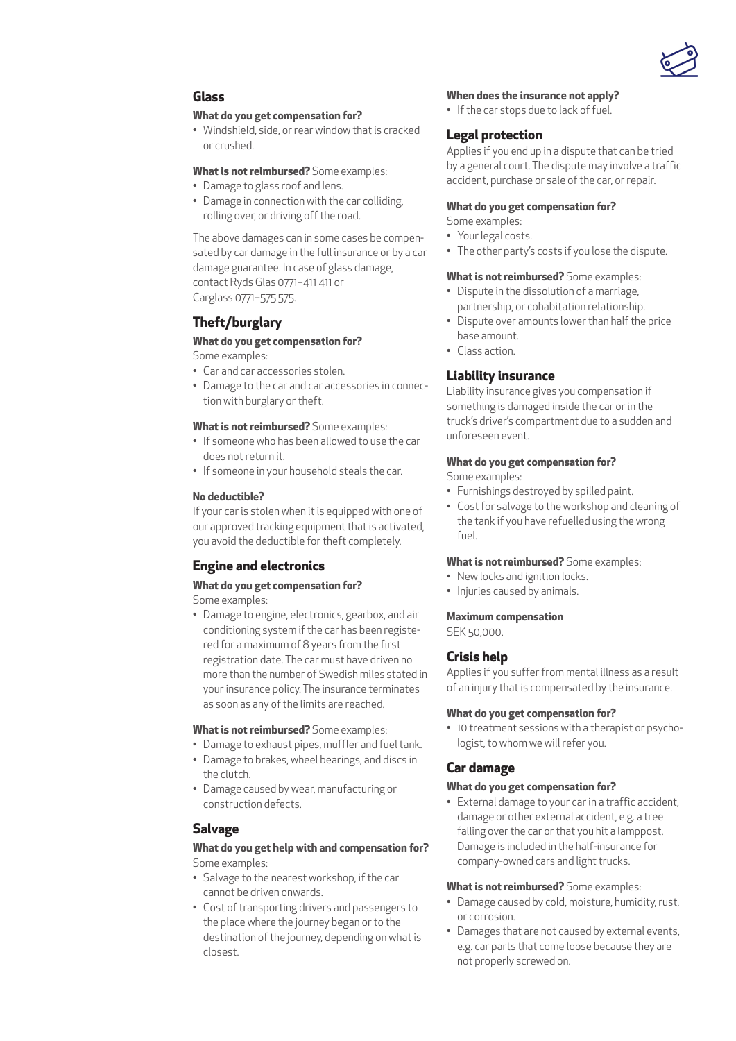

# **Glass**

#### **What do you get compensation for?**

• Windshield, side, or rear window that is cracked or crushed.

#### **What is not reimbursed?** Some examples:

- Damage to glass roof and lens.
- Damage in connection with the car colliding, rolling over, or driving off the road.

The above damages can in some cases be compensated by car damage in the full insurance or by a car damage guarantee. In case of glass damage, contact Ryds Glas 0771–411 411 or Carglass 0771–575 575.

# **Theft/burglary**

# **What do you get compensation for?**

Some examples:

- Car and car accessories stolen.
- Damage to the car and car accessories in connection with burglary or theft.

#### **What is not reimbursed?** Some examples:

- If someone who has been allowed to use the car does not return it.
- If someone in your household steals the car.

#### **No deductible?**

If your car is stolen when it is equipped with one of our approved tracking equipment that is activated, you avoid the deductible for theft completely.

# **Engine and electronics**

# **What do you get compensation for?**

Some examples:

• Damage to engine, electronics, gearbox, and air conditioning system if the car has been registered for a maximum of 8 years from the first registration date. The car must have driven no more than the number of Swedish miles stated in your insurance policy. The insurance terminates as soon as any of the limits are reached.

#### **What is not reimbursed?** Some examples:

- Damage to exhaust pipes, muffler and fuel tank.
- Damage to brakes, wheel bearings, and discs in the clutch.
- Damage caused by wear, manufacturing or construction defects.

# **Salvage**

#### **What do you get help with and compensation for?**  Some examples:

- Salvage to the nearest workshop, if the car cannot be driven onwards.
- Cost of transporting drivers and passengers to the place where the journey began or to the destination of the journey, depending on what is closest.

#### **When does the insurance not apply?**

• If the car stops due to lack of fuel.

# **Legal protection**

Applies if you end up in a dispute that can be tried by a general court. The dispute may involve a traffic accident, purchase or sale of the car, or repair.

#### **What do you get compensation for?**

Some examples:

- Your legal costs.
- The other party's costs if you lose the dispute.

#### **What is not reimbursed?** Some examples:

- Dispute in the dissolution of a marriage, partnership, or cohabitation relationship.
- Dispute over amounts lower than half the price base amount.
- Class action.

# **Liability insurance**

Liability insurance gives you compensation if something is damaged inside the car or in the truck's driver's compartment due to a sudden and unforeseen event.

#### **What do you get compensation for?**

Some examples:

- Furnishings destroyed by spilled paint.
- Cost for salvage to the workshop and cleaning of the tank if you have refuelled using the wrong fuel.

#### **What is not reimbursed?** Some examples:

- New locks and ignition locks.
- Injuries caused by animals.

#### **Maximum compensation**

SEK 50,000.

# **Crisis help**

Applies if you suffer from mental illness as a result of an injury that is compensated by the insurance.

#### **What do you get compensation for?**

• 10 treatment sessions with a therapist or psychologist, to whom we will refer you.

# **Car damage**

#### **What do you get compensation for?**

• External damage to your car in a traffic accident, damage or other external accident, e.g. a tree falling over the car or that you hit a lamppost. Damage is included in the half-insurance for company-owned cars and light trucks.

#### **What is not reimbursed?** Some examples:

- Damage caused by cold, moisture, humidity, rust, or corrosion.
- Damages that are not caused by external events, e.g. car parts that come loose because they are not properly screwed on.